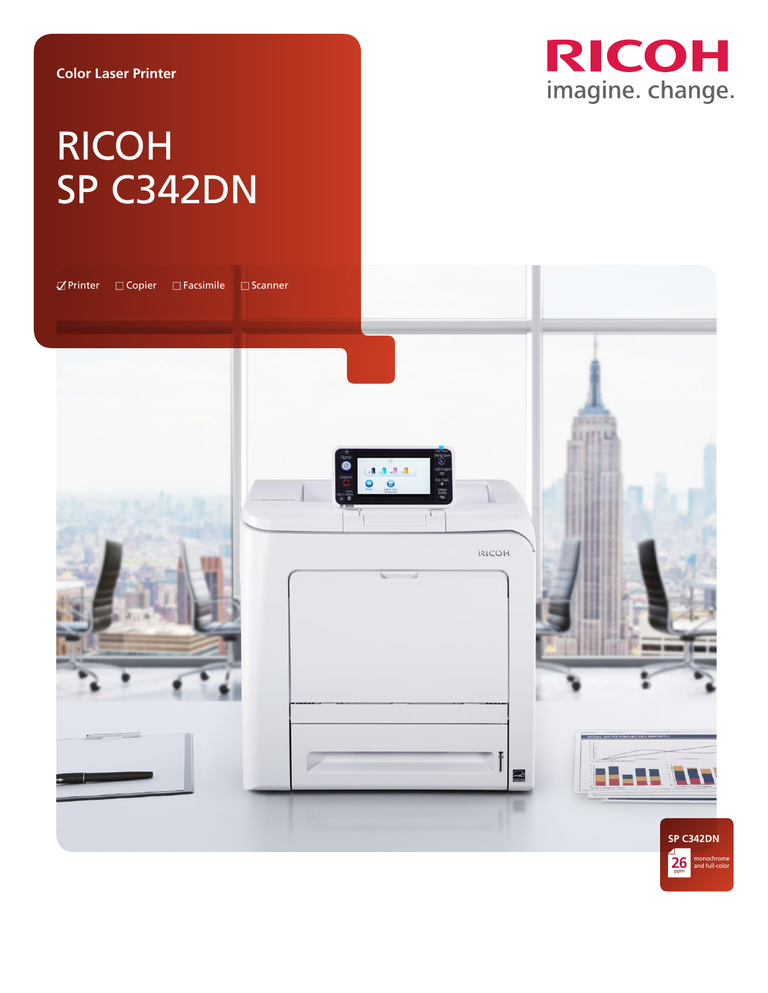**Color Laser Printer**

**RICOH** imagine. change.

# RICOH SP C342DN

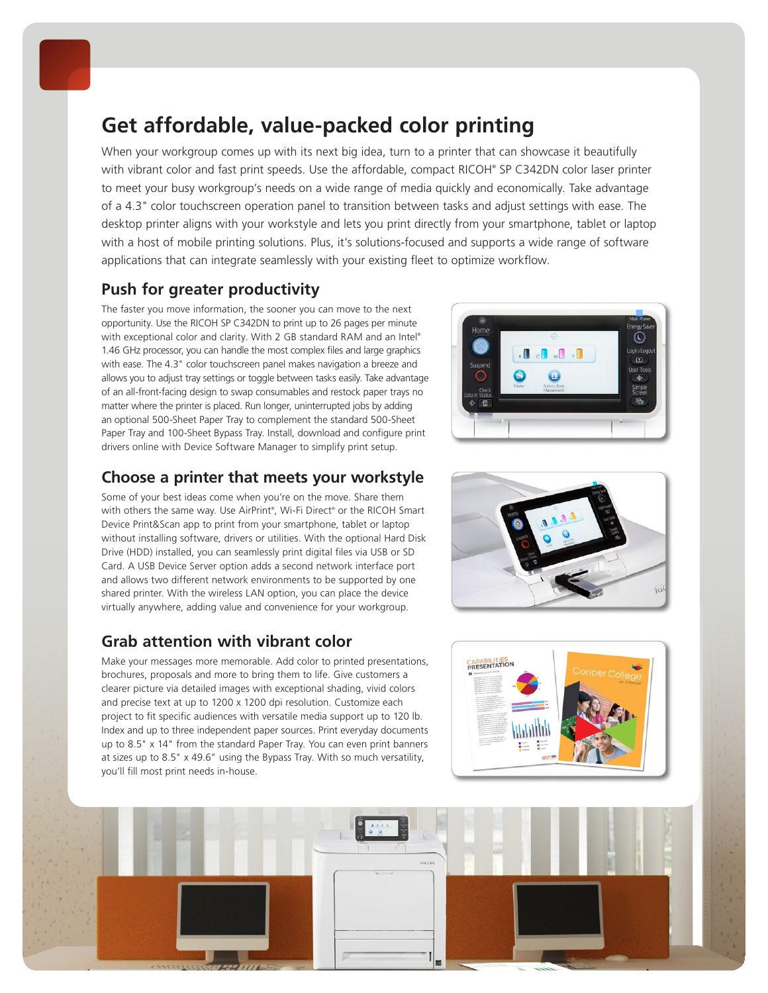

## **Get affordable, value-packed color printing**

When your workgroup comes up with its next big idea, turn to a printer that can showcase it beautifully with vibrant color and fast print speeds. Use the affordable, compact RICOH® SP C342DN color laser printer to meet your busy workgroup's needs on a wide range of media quickly and economically. Take advantage of a 4.3" color touchscreen operation panel to transition between tasks and adjust settings with ease. The desktop printer aligns with your workstyle and lets you print directly from your smartphone, tablet or laptop with a host of mobile printing solutions. Plus, it's solutions-focused and supports a wide range of software applications that can integrate seamlessly with your existing fleet to optimize workflow.

## **Push for greater productivity**

The faster you move information, the sooner you can move to the next opportunity. Use the RICOH SP C342DN to print up to 26 pages per minute with exceptional color and clarity. With 2 GB standard RAM and an Intel® 1.46 GHz processor, you can handle the most complex files and large graphics with ease. The 4.3" color touchscreen panel makes navigation a breeze and allows you to adjust tray settings or toggle between tasks easily. Take advantage of an all-front-facing design to swap consumables and restock paper trays no matter where the printer is placed. Run longer, uninterrupted jobs by adding an optional 500-Sheet Paper Tray to complement the standard 500-Sheet Paper Tray and 100-Sheet Bypass Tray. Install, download and configure print drivers online with Device Software Manager to simplify print setup.

## **Choose a printer that meets your workstyle**

Some of your best ideas come when you're on the move. Share them with others the same way. Use AirPrint® , Wi-Fi Direct® or the RICOH Smart Device Print&Scan app to print from your smartphone, tablet or laptop without installing software, drivers or utilities. With the optional Hard Disk Drive (HDD) installed, you can seamlessly print digital files via USB or SD Card. A USB Device Server option adds a second network interface port and allows two different network environments to be supported by one shared printer. With the wireless LAN option, you can place the device virtually anywhere, adding value and convenience for your workgroup.

## **Grab attention with vibrant color**

Make your messages more memorable. Add color to printed presentations, brochures, proposals and more to bring them to life. Give customers a clearer picture via detailed images with exceptional shading, vivid colors and precise text at up to 1200 x 1200 dpi resolution. Customize each project to fit specific audiences with versatile media support up to 120 lb. Index and up to three independent paper sources. Print everyday documents up to 8.5" x 14" from the standard Paper Tray. You can even print banners at sizes up to 8.5" x 49.6" using the Bypass Tray. With so much versatility, you'll fill most print needs in-house.







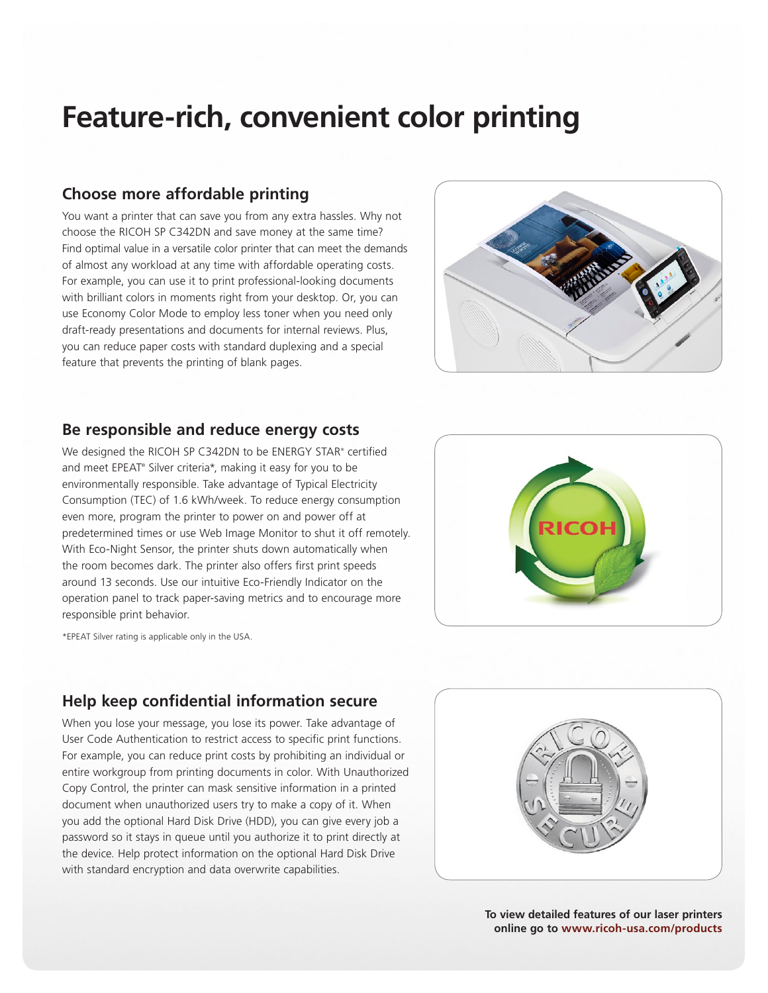# **Feature-rich, convenient color printing**

#### **Choose more affordable printing**

You want a printer that can save you from any extra hassles. Why not choose the RICOH SP C342DN and save money at the same time? Find optimal value in a versatile color printer that can meet the demands of almost any workload at any time with affordable operating costs. For example, you can use it to print professional-looking documents with brilliant colors in moments right from your desktop. Or, you can use Economy Color Mode to employ less toner when you need only draft-ready presentations and documents for internal reviews. Plus, you can reduce paper costs with standard duplexing and a special feature that prevents the printing of blank pages.



#### **Be responsible and reduce energy costs**

We designed the RICOH SP C342DN to be ENERGY STAR® certified and meet EPEAT® Silver criteria\*, making it easy for you to be environmentally responsible. Take advantage of Typical Electricity Consumption (TEC) of 1.6 kWh/week. To reduce energy consumption even more, program the printer to power on and power off at predetermined times or use Web Image Monitor to shut it off remotely. With Eco-Night Sensor, the printer shuts down automatically when the room becomes dark. The printer also offers first print speeds around 13 seconds. Use our intuitive Eco-Friendly Indicator on the operation panel to track paper-saving metrics and to encourage more responsible print behavior.

\*EPEAT Silver rating is applicable only in the USA.



### **Help keep confidential information secure**

When you lose your message, you lose its power. Take advantage of User Code Authentication to restrict access to specific print functions. For example, you can reduce print costs by prohibiting an individual or entire workgroup from printing documents in color. With Unauthorized Copy Control, the printer can mask sensitive information in a printed document when unauthorized users try to make a copy of it. When you add the optional Hard Disk Drive (HDD), you can give every job a password so it stays in queue until you authorize it to print directly at the device. Help protect information on the optional Hard Disk Drive with standard encryption and data overwrite capabilities.



**To view detailed features of our laser printers online go to www.ricoh-usa.com/products**